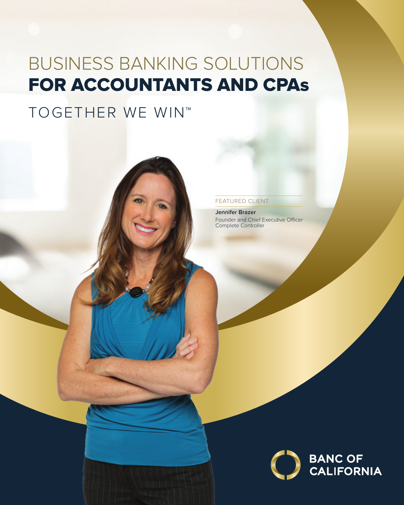# BUSINESS BANKING SOLUTIONS FOR ACCOUNTANTS AND CPAs

# TOGETHER WE WIN™

#### FEATURED CLIENT

**Jennifer Brazer**  Founder and Chief Executive Officer Complete Controller

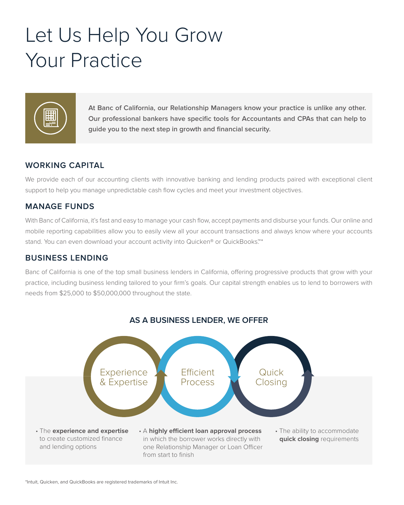# Let Us Help You Grow Your Practice



**At Banc of California, our Relationship Managers know your practice is unlike any other. Our professional bankers have specifc tools for Accountants and CPAs that can help to guide you to the next step in growth and fnancial security.** 

### **WORKING CAPITAL**

We provide each of our accounting clients with innovative banking and lending products paired with exceptional client support to help you manage unpredictable cash flow cycles and meet your investment objectives.

#### **MANAGE FUNDS**

With Banc of California, it's fast and easy to manage your cash fow, accept payments and disburse your funds. Our online and mobile reporting capabilities allow you to easily view all your account transactions and always know where your accounts stand. You can even download your account activity into Quicken® or QuickBooks.<sup>™\*</sup>

#### **BUSINESS LENDING**

Banc of California is one of the top small business lenders in California, ofering progressive products that grow with your practice, including business lending tailored to your frm's goals. Our capital strength enables us to lend to borrowers with needs from \$25,000 to \$50,000,000 throughout the state.



### **AS A BUSINESS LENDER, WE OFFER**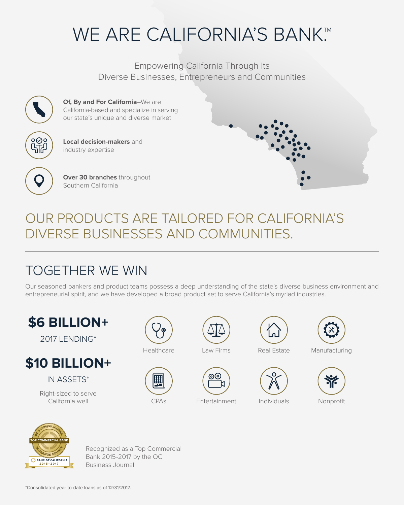# WE ARE CALIFORNIA'S BANK.™

Empowering California Through Its Diverse Businesses, Entrepreneurs and Communities



**Of, By and For California**–We are California-based and specialize in serving our state's unique and diverse market



**Over 30 branches** throughout

**Local decision-makers** and

Southern California

industry expertise



## OUR PRODUCTS ARE TAILORED FOR CALIFORNIA'S DIVERSE BUSINESSES AND COMMUNITIES.

## TOGETHER WE WIN

Our seasoned bankers and product teams possess a deep understanding of the state's diverse business environment and entrepreneurial spirit, and we have developed a broad product set to serve California's myriad industries.



2017 LENDING\*



IN ASSETS\*

Right-sized to serve California well CPAs Entertainment Individuals Nonproft

圛













Recognized as a Top Commercial Bank 2015-2017 by the OC Business Journal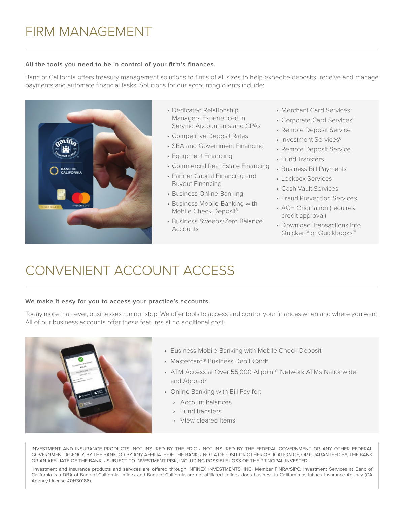### FIRM MANAGEMENT

#### **All the tools you need to be in control of your firm's finances.**

Banc of California ofers treasury management solutions to frms of all sizes to help expedite deposits, receive and manage payments and automate fnancial tasks. Solutions for our accounting clients include:



- Dedicated Relationship Merchant Card Services<sup>2</sup> Managers Experienced in • Corporate Card Services<sup>1</sup>
- Serving Accountants and CPAs<br>
 Competitive Deposit Rates<br>
 Investment Services<sup>6</sup>
- SBA and Government Financing Remote Deposit Service<br>• Equipment Financing Fund Transfers
- 
- Commercial Real Estate Financing Business Bill Payments
- Partner Capital Financing and Lockbox Services
- 
- Business Mobile Banking with Buyout Financing<br>
• Business Online Banking<br>
• Business Mobile Banking with<br>
• ACH Origination (requires<br>
Mobile Check Deposit<sup>3</sup><br>
• ACH Origination (requires
- Mobile Check Deposit<sup>3</sup><br>
 Business Sweeps/Zero Balance <sup>•</sup> Pownload Transactions into Accounts <sup>Quicken®</sup> or Quickbooks™
- 
- 
- 
- 
- 
- 
- 
- 
- 
- 
- 
- 

## CONVENIENT ACCOUNT ACCESS

#### **We make it easy for you to access your practice's accounts.**

Today more than ever, businesses run nonstop. We offer tools to access and control your finances when and where you want. All of our business accounts ofer these features at no additional cost:



- Business Mobile Banking with Mobile Check Deposit<sup>3</sup>
- Mastercard® Business Debit Card<sup>4</sup>
- ATM Access at Over 55,000 Allpoint® Network ATMs Nationwide and Abroad<sup>5</sup>
- Online Banking with Bill Pay for:
	- o Account balances
	- o Fund transfers
	- o View cleared items

INVESTMENT AND INSURANCE PRODUCTS: NOT INSURED BY THE FDIC • NOT INSURED BY THE FEDERAL GOVERNMENT OR ANY OTHER FEDERAL GOVERNMENT AGENCY, BY THE BANK, OR BY ANY AFFILIATE OF THE BANK • NOT A DEPOSIT OR OTHER OBLIGATION OF, OR GUARANTEED BY, THE BANK OR AN AFFILIATE OF THE BANK • SUBJECT TO INVESTMENT RISK, INCLUDING POSSIBLE LOSS OF THE PRINCIPAL INVESTED.

<sup>6</sup>Investment and insurance products and services are offered through INFINEX INVESTMENTS, INC. Member FINRA/SIPC. Investment Services at Banc of California is a DBA of Banc of California. Infinex and Banc of California are not affiliated. Infinex does business in California as Infinex Insurance Agency (CA Agency License #0H30186).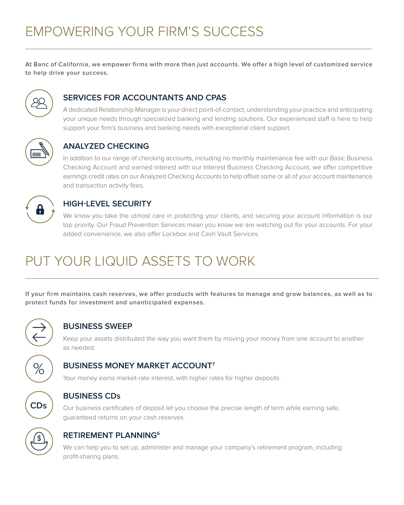**At Banc of California, we empower firms with more than just accounts. We offer a high level of customized service to help drive your success.** 



### **SERVICES FOR ACCOUNTANTS AND CPAS**

A dedicated Relationship Manager is your direct point-of-contact, understanding your practice and anticipating your unique needs through specialized banking and lending solutions. Our experienced staff is here to help support your firm's business and banking needs with exceptional client support.



### **ANALYZED CHECKING**

In addition to our range of checking accounts, including no monthly maintenance fee with our Basic Business Checking Account and earned interest with our Interest Business Checking Account, we ofer competitive earnings credit rates on our Analyzed Checking Accounts to help ofset some or all of your account maintenance and transaction activity fees.



### **HIGH-LEVEL SECURITY**

We know you take the utmost care in protecting your clients, and securing your account information is our top priority. Our Fraud Prevention Services mean you know we are watching out for your accounts. For your added convenience, we also offer Lockbox and Cash Vault Services.

## PUT YOUR LIQUID ASSETS TO WORK

**If your firm maintains cash reserves, we offer products with features to manage and grow balances, as well as to protect funds for investment and unanticipated expenses.** 



### **BUSINESS SWEEP**

Keep your assets distributed the way you want them by moving your money from one account to another as needed.



### **BUSINESS MONEY MARKET ACCOUNT7**

Your money earns market-rate interest, with higher rates for higher deposits.



### **BUSINESS CDs**

Our business certifcates of deposit let you choose the precise length of term while earning safe, guaranteed returns on your cash reserves.



### **RETIREMENT PLANNING6**

We can help you to set up, administer and manage your company's retirement program, including profit-sharing plans.